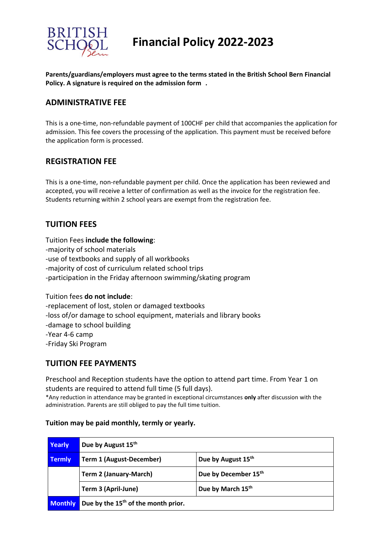

# **Financial Policy 2022-2023**

**Parents/guardians/employers must agree to the terms stated in the British School Bern Financial Policy. A signature is required on the admission form .** 

## **ADMINISTRATIVE FEE**

This is a one-time, non-refundable payment of 100CHF per child that accompanies the application for admission. This fee covers the processing of the application. This payment must be received before the application form is processed.

#### **REGISTRATION FEE**

This is a one-time, non-refundable payment per child. Once the application has been reviewed and accepted, you will receive a letter of confirmation as well as the invoice for the registration fee. Students returning within 2 school years are exempt from the registration fee.

## **TUITION FEES**

Tuition Fees **include the following**:

- -majority of school materials
- -use of textbooks and supply of all workbooks
- -majority of cost of curriculum related school trips
- -participation in the Friday afternoon swimming/skating program

#### Tuition fees **do not include**:

-replacement of lost, stolen or damaged textbooks

-loss of/or damage to school equipment, materials and library books

- -damage to school building
- -Year 4-6 camp

-Friday Ski Program

#### **TUITION FEE PAYMENTS**

Preschool and Reception students have the option to attend part time. From Year 1 on students are required to attend full time (5 full days).

\*Any reduction in attendance may be granted in exceptional circumstances **only** after discussion with the administration. Parents are still obliged to pay the full time tuition.

#### **Tuition may be paid monthly, termly or yearly.**

| Yearly         | Due by August 15 <sup>th</sup>                  |                      |
|----------------|-------------------------------------------------|----------------------|
| <b>Termly</b>  | <b>Term 1 (August-December)</b>                 | Due by August 15th   |
|                | <b>Term 2 (January-March)</b>                   | Due by December 15th |
|                | Term 3 (April-June)                             | Due by March 15th    |
| <b>Monthly</b> | Due by the 15 <sup>th</sup> of the month prior. |                      |